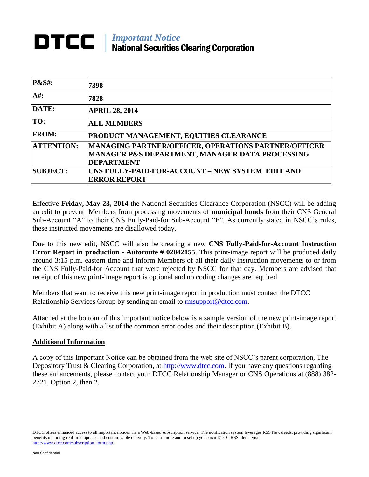## *Important Notice*<br>*Important Notice* National Securities Clearing Corporation

| <b>P&amp;S#:</b>  | 7398                                                 |
|-------------------|------------------------------------------------------|
| $A#$ :            | 7828                                                 |
| DATE:             | <b>APRIL 28, 2014</b>                                |
| TO:               | <b>ALL MEMBERS</b>                                   |
| <b>FROM:</b>      | PRODUCT MANAGEMENT, EQUITIES CLEARANCE               |
| <b>ATTENTION:</b> | MANAGING PARTNER/OFFICER, OPERATIONS PARTNER/OFFICER |
|                   | MANAGER P&S DEPARTMENT, MANAGER DATA PROCESSING      |
|                   | <b>DEPARTMENT</b>                                    |
| <b>SUBJECT:</b>   | CNS FULLY-PAID-FOR-ACCOUNT – NEW SYSTEM EDIT AND     |
|                   | <b>ERROR REPORT</b>                                  |

Effective **Friday, May 23, 2014** the National Securities Clearance Corporation (NSCC) will be adding an edit to prevent Members from processing movements of **municipal bonds** from their CNS General Sub-Account "A" to their CNS Fully-Paid-for Sub-Account "E". As currently stated in NSCC's rules, these instructed movements are disallowed today.

Due to this new edit, NSCC will also be creating a new **CNS Fully-Paid-for-Account Instruction Error Report in production - Autoroute # 02042155. This print-image report will be produced daily** around 3:15 p.m. eastern time and inform Members of all their daily instruction movements to or from the CNS Fully-Paid-for Account that were rejected by NSCC for that day. Members are advised that receipt of this new print-image report is optional and no coding changes are required.

Members that want to receive this new print-image report in production must contact the DTCC Relationship Services Group by sending an email to [rmsupport@dtcc.com.](mailto:rmsupport@dtcc.com)

Attached at the bottom of this important notice below is a sample version of the new print-image report (Exhibit A) along with a list of the common error codes and their description (Exhibit B).

## **Additional Information**

A copy of this Important Notice can be obtained from the web site of NSCC's parent corporation, The Depository Trust & Clearing Corporation, at http://www.dtcc.com. If you have any questions regarding these enhancements, please contact your DTCC Relationship Manager or CNS Operations at (888) 382- 2721, Option 2, then 2.

DTCC offers enhanced access to all important notices via a Web-based subscription service. The notification system leverages RSS Newsfeeds, providing significant benefits including real-time updates and customizable delivery. To learn more and to set up your own DTCC RSS alerts, visit http://www.dtcc.com/subscription\_form.php.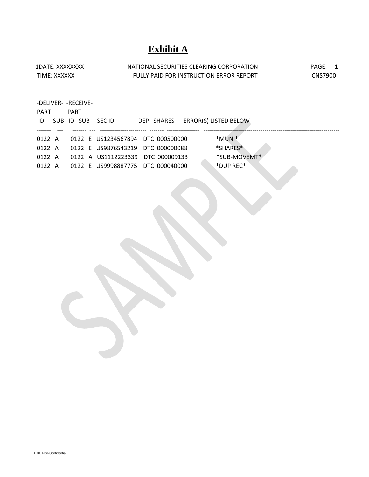## **Exhibit A**

| 1DATE: XXXXXXXX | NATIONAL SECURITIES CLEARING CORPORATION | PAGF:          |
|-----------------|------------------------------------------|----------------|
| TIME: XXXXXX    | FULLY PAID FOR INSTRUCTION ERROR REPORT  | <b>CNS7900</b> |
|                 |                                          |                |

| -DELIVER- - RECEIVE- |  |             |  |                                   |  |  |                                  |  |
|----------------------|--|-------------|--|-----------------------------------|--|--|----------------------------------|--|
| <b>PART</b>          |  | <b>PART</b> |  |                                   |  |  |                                  |  |
| ID.                  |  |             |  | SUB ID SUB SECID                  |  |  | DEP SHARES ERROR(S) LISTED BELOW |  |
|                      |  |             |  |                                   |  |  |                                  |  |
| $0122 \; A$          |  |             |  | 0122 E US1234567894 DTC 000500000 |  |  | *MUNI*                           |  |
| $0122 \; A$          |  |             |  | 0122 E US9876543219 DTC 000000088 |  |  | *SHARES*                         |  |
| 0122 A               |  |             |  | 0122 A US1112223339 DTC 000009133 |  |  | *SUB-MOVEMT*                     |  |
| 0122 A               |  |             |  | 0122 E US9998887775 DTC 000040000 |  |  | *DUP REC*                        |  |